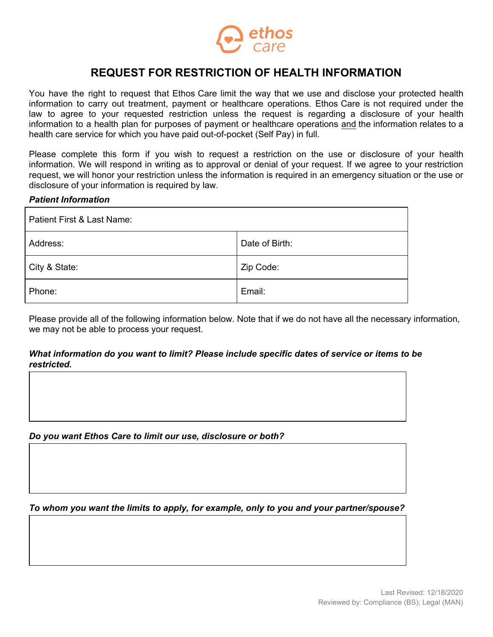

# **REQUEST FOR RESTRICTION OF HEALTH INFORMATION**

You have the right to request that Ethos Care limit the way that we use and disclose your protected health information to carry out treatment, payment or healthcare operations. Ethos Care is not required under the law to agree to your requested restriction unless the request is regarding a disclosure of your health information to a health plan for purposes of payment or healthcare operations and the information relates to a health care service for which you have paid out-of-pocket (Self Pay) in full.

Please complete this form if you wish to request a restriction on the use or disclosure of your health information. We will respond in writing as to approval or denial of your request. If we agree to your restriction request, we will honor your restriction unless the information is required in an emergency situation or the use or disclosure of your information is required by law.

#### *Patient Information*

| Patient First & Last Name: |                |
|----------------------------|----------------|
| Address:                   | Date of Birth: |
| City & State:              | Zip Code:      |
| Phone:                     | Email:         |

Please provide all of the following information below. Note that if we do not have all the necessary information, we may not be able to process your request.

#### *What information do you want to limit? Please include specific dates of service or items to be restricted.*

*Do you want Ethos Care to limit our use, disclosure or both?* 

*To whom you want the limits to apply, for example, only to you and your partner/spouse?*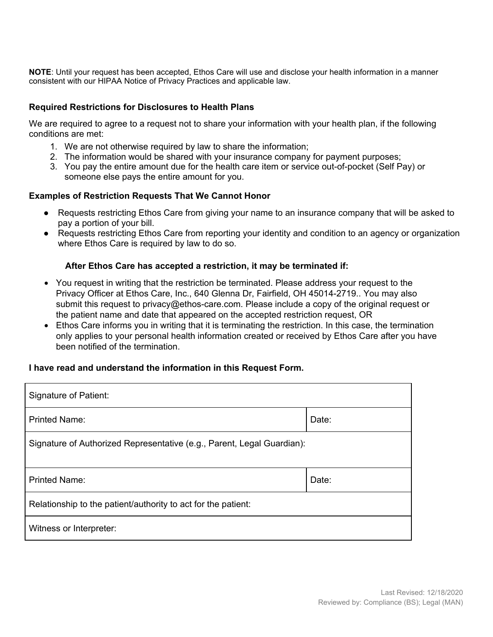**NOTE**: Until your request has been accepted, Ethos Care will use and disclose your health information in a manner consistent with our HIPAA Notice of Privacy Practices and applicable law.

### **Required Restrictions for Disclosures to Health Plans**

We are required to agree to a request not to share your information with your health plan, if the following conditions are met:

- 1. We are not otherwise required by law to share the information;
- 2. The information would be shared with your insurance company for payment purposes;
- 3. You pay the entire amount due for the health care item or service out-of-pocket (Self Pay) or someone else pays the entire amount for you.

#### **Examples of Restriction Requests That We Cannot Honor**

- Requests restricting Ethos Care from giving your name to an insurance company that will be asked to pay a portion of your bill.
- Requests restricting Ethos Care from reporting your identity and condition to an agency or organization where Ethos Care is required by law to do so.

## **After Ethos Care has accepted a restriction, it may be terminated if:**

- You request in writing that the restriction be terminated. Please address your request to the Privacy Officer at Ethos Care, Inc., 640 Glenna Dr, Fairfield, OH 45014-2719.. You may also submit thi[s request to](mailto:privacy@onemedical.com) privacy@ethos-care.com. Please include a copy of the original request or the patient name and date that appeared on the accepted restriction request, OR
- Ethos Care informs you in writing that it is terminating the restriction. In this case, the termination only applies to your personal health information created or received by Ethos Care after you have been notified of the termination.

#### **I have read and understand the information in this Request Form.**

| Signature of Patient:                                                  |       |  |
|------------------------------------------------------------------------|-------|--|
| <b>Printed Name:</b>                                                   | Date: |  |
| Signature of Authorized Representative (e.g., Parent, Legal Guardian): |       |  |
| <b>Printed Name:</b>                                                   | Date: |  |
| Relationship to the patient/authority to act for the patient:          |       |  |
| Witness or Interpreter:                                                |       |  |